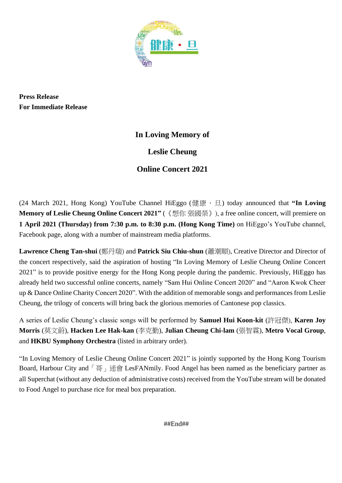

**Press Release For Immediate Release** 

# **In Loving Memory of**

**Leslie Cheung**

## **Online Concert 2021**

(24 March 2021, Hong Kong) YouTube Channel HiEggo (健康.旦) today announced that **"In Loving Memory of Leslie Cheung Online Concert 2021"** (《想你 張國榮》), a free online concert, will premiere on **1 April 2021 (Thursday) from 7:30 p.m. to 8:30 p.m. (Hong Kong Time)** on HiEggo's YouTube channel, Facebook page, along with a number of mainstream media platforms.

**Lawrence Cheng Tan-shui** (鄭丹瑞) and **Patrick Siu Chiu-shun** (蕭潮順), Creative Director and Director of the concert respectively, said the aspiration of hosting "In Loving Memory of Leslie Cheung Online Concert 2021" is to provide positive energy for the Hong Kong people during the pandemic. Previously, HiEggo has already held two successful online concerts, namely "Sam Hui Online Concert 2020" and "Aaron Kwok Cheer up & Dance Online Charity Concert 2020". With the addition of memorable songs and performances from Leslie Cheung, the trilogy of concerts will bring back the glorious memories of Cantonese pop classics.

A series of Leslie Cheung's classic songs will be performed by **Samuel Hui Koon-kit** (許冠傑), **Karen Joy Morris** (莫文蔚), **Hacken Lee Hak-kan** (李克勤), **Julian Cheung Chi-lam** (張智霖), **Metro Vocal Group**, and **HKBU Symphony Orchestra** (listed in arbitrary order).

"In Loving Memory of Leslie Cheung Online Concert 2021" is jointly supported by the Hong Kong Tourism Board, Harbour City and 「哥」迷會 LesFANmily. Food Angel has been named as the beneficiary partner as all Superchat (without any deduction of administrative costs) received from the YouTube stream will be donated to Food Angel to purchase rice for meal box preparation.

##End##